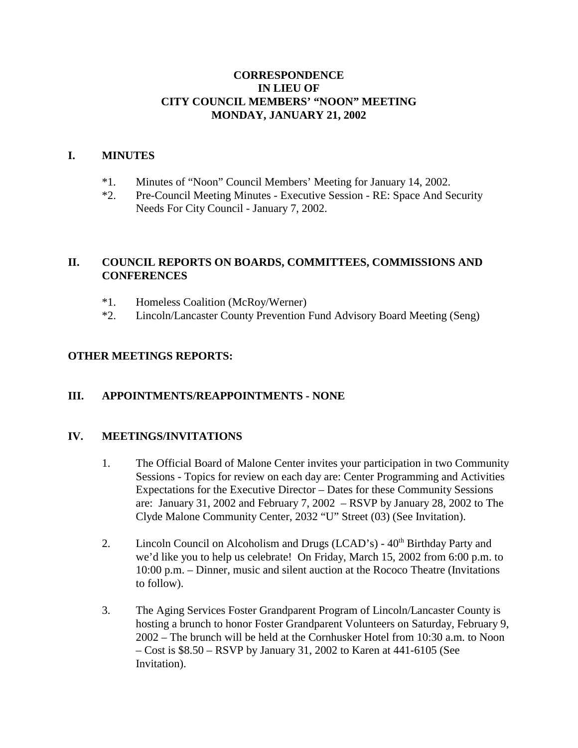## **CORRESPONDENCE IN LIEU OF CITY COUNCIL MEMBERS' "NOON" MEETING MONDAY, JANUARY 21, 2002**

### **I. MINUTES**

- \*1. Minutes of "Noon" Council Members' Meeting for January 14, 2002.
- \*2. Pre-Council Meeting Minutes Executive Session RE: Space And Security Needs For City Council - January 7, 2002.

# **II. COUNCIL REPORTS ON BOARDS, COMMITTEES, COMMISSIONS AND CONFERENCES**

- \*1. Homeless Coalition (McRoy/Werner)
- \*2. Lincoln/Lancaster County Prevention Fund Advisory Board Meeting (Seng)

## **OTHER MEETINGS REPORTS:**

## **III. APPOINTMENTS/REAPPOINTMENTS - NONE**

#### **IV. MEETINGS/INVITATIONS**

- 1. The Official Board of Malone Center invites your participation in two Community Sessions - Topics for review on each day are: Center Programming and Activities Expectations for the Executive Director – Dates for these Community Sessions are: January 31, 2002 and February 7, 2002 – RSVP by January 28, 2002 to The Clyde Malone Community Center, 2032 "U" Street (03) (See Invitation).
- 2. Lincoln Council on Alcoholism and Drugs  $(LCAD's) 40<sup>th</sup> Birthday Party$  and we'd like you to help us celebrate! On Friday, March 15, 2002 from 6:00 p.m. to 10:00 p.m. – Dinner, music and silent auction at the Rococo Theatre (Invitations to follow).
- 3. The Aging Services Foster Grandparent Program of Lincoln/Lancaster County is hosting a brunch to honor Foster Grandparent Volunteers on Saturday, February 9, 2002 – The brunch will be held at the Cornhusker Hotel from 10:30 a.m. to Noon – Cost is \$8.50 – RSVP by January 31, 2002 to Karen at 441-6105 (See Invitation).